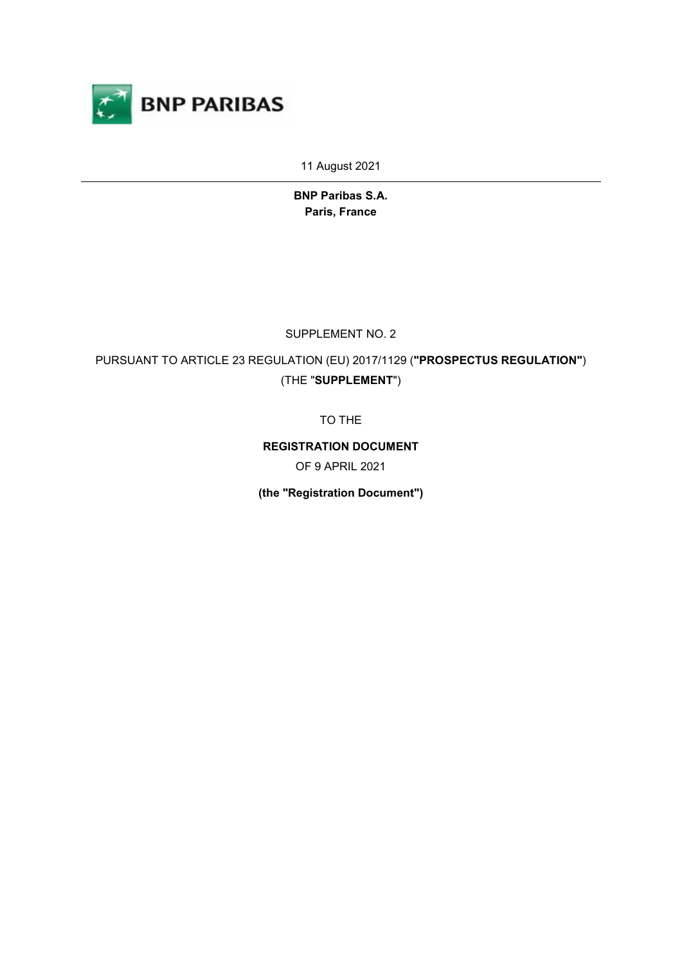

11 August 2021

**BNP Paribas S.A. Paris, France**

SUPPLEMENT NO. 2

PURSUANT TO ARTICLE 23 REGULATION (EU) 2017/1129 (**"PROSPECTUS REGULATION"**) (THE "**SUPPLEMENT**")

TO THE

**REGISTRATION DOCUMENT**

OF 9 APRIL 2021

**(the "Registration Document")**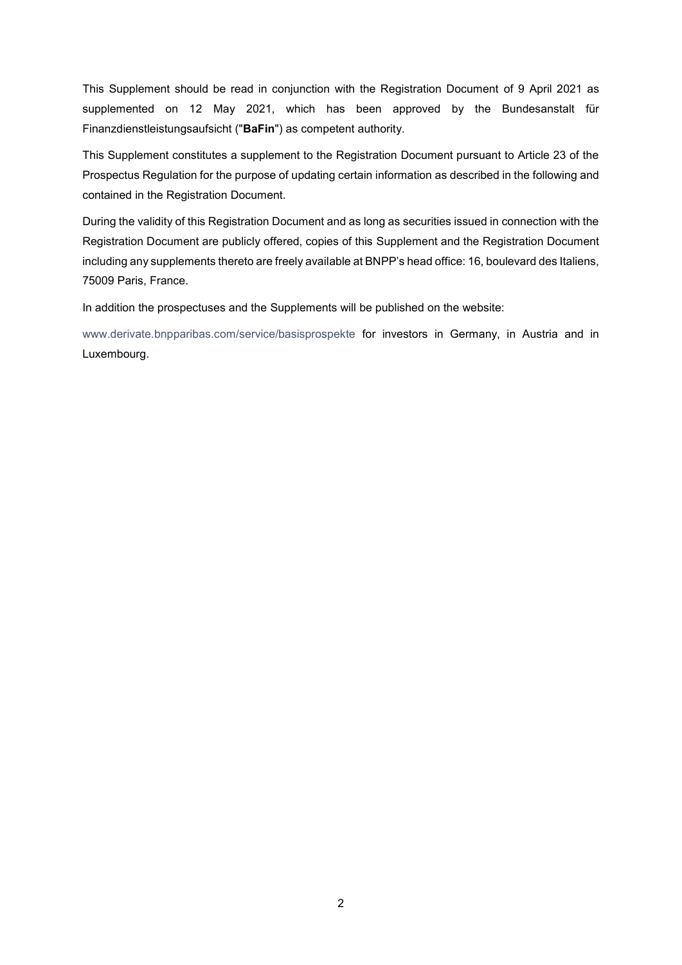This Supplement should be read in conjunction with the Registration Document of 9 April 2021 as supplemented on 12 May 2021, which has been approved by the Bundesanstalt für Finanzdienstleistungsaufsicht ("**BaFin**") as competent authority.

This Supplement constitutes a supplement to the Registration Document pursuant to Article 23 of the Prospectus Regulation for the purpose of updating certain information as described in the following and contained in the Registration Document.

During the validity of this Registration Document and as long as securities issued in connection with the Registration Document are publicly offered, copies of this Supplement and the Registration Document including any supplements thereto are freely available at BNPP's head office: 16, boulevard des Italiens, 75009 Paris, France.

In addition the prospectuses and the Supplements will be published on the website:

[www.derivate.bnpparibas.com/service/basisprospekte](http://www.derivate.bnpparibas.com/service/basisprospekte) for investors in Germany, in Austria and in Luxembourg.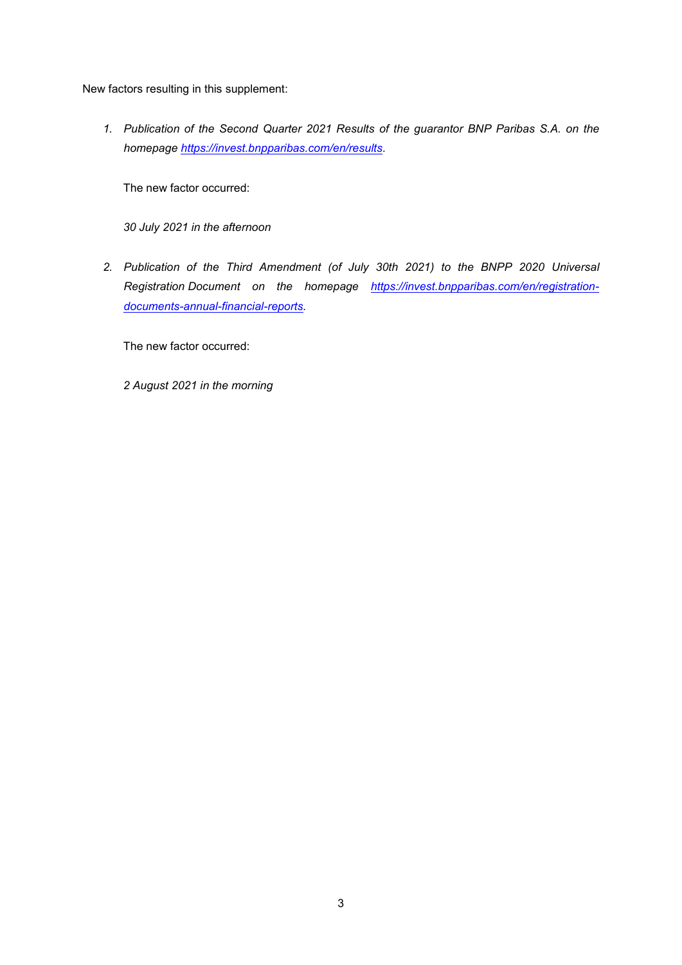New factors resulting in this supplement:

*1. Publication of the Second Quarter 2021 Results of the guarantor BNP Paribas S.A. on the homepage [https://invest.bnpparibas.com/en/results.](https://invest.bnpparibas.com/en/results)*

The new factor occurred:

*30 July 2021 in the afternoon*

*2. Publication of the Third Amendment (of July 30th 2021) to the BNPP 2020 Universal Registration Document on the homepage [https://invest.bnpparibas.com/en/registration](https://invest.bnpparibas.com/en/registration-documents-annual-financial-reports)[documents-annual-financial-reports.](https://invest.bnpparibas.com/en/registration-documents-annual-financial-reports)*

The new factor occurred:

*2 August 2021 in the morning*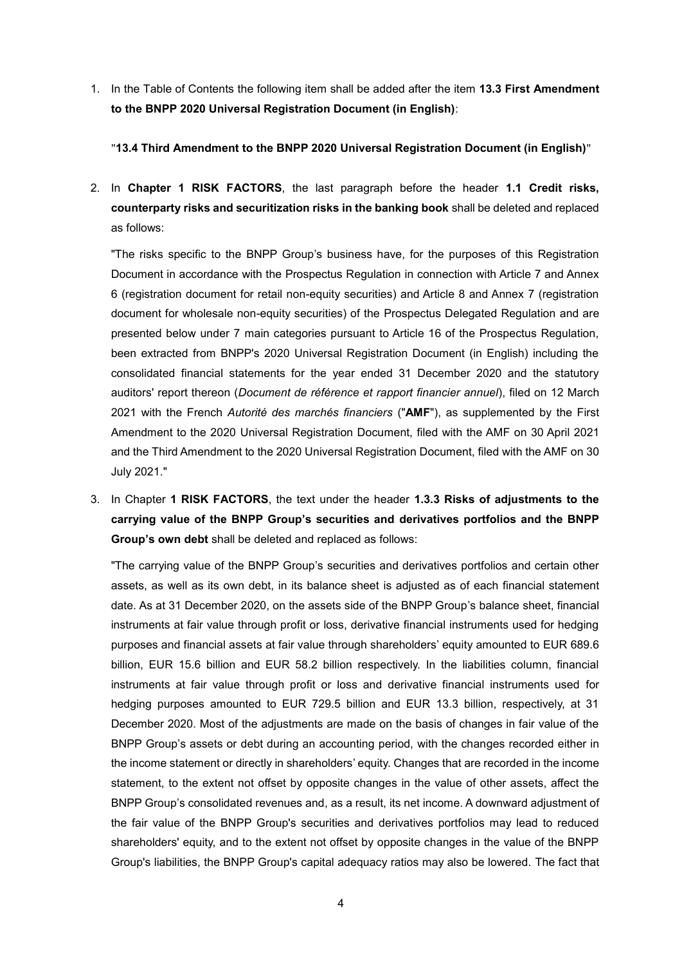1. In the Table of Contents the following item shall be added after the item **13.3 First Amendment to the BNPP 2020 Universal Registration Document (in English)**:

"**13.4 Third Amendment to the BNPP 2020 Universal Registration Document (in English)**"

2. In **Chapter 1 RISK FACTORS**, the last paragraph before the header **1.1 Credit risks, counterparty risks and securitization risks in the banking book** shall be deleted and replaced as follows:

"The risks specific to the BNPP Group's business have, for the purposes of this Registration Document in accordance with the Prospectus Regulation in connection with Article 7 and Annex 6 (registration document for retail non-equity securities) and Article 8 and Annex 7 (registration document for wholesale non-equity securities) of the Prospectus Delegated Regulation and are presented below under 7 main categories pursuant to Article 16 of the Prospectus Regulation, been extracted from BNPP's 2020 Universal Registration Document (in English) including the consolidated financial statements for the year ended 31 December 2020 and the statutory auditors' report thereon (*Document de référence et rapport financier annuel*), filed on 12 March 2021 with the French *Autorité des marchés financiers* ("**AMF**"), as supplemented by the First Amendment to the 2020 Universal Registration Document, filed with the AMF on 30 April 2021 and the Third Amendment to the 2020 Universal Registration Document, filed with the AMF on 30 July 2021."

3. In Chapter **1 RISK FACTORS**, the text under the header **1.3.3 Risks of adjustments to the carrying value of the BNPP Group's securities and derivatives portfolios and the BNPP Group's own debt** shall be deleted and replaced as follows:

"The carrying value of the BNPP Group's securities and derivatives portfolios and certain other assets, as well as its own debt, in its balance sheet is adjusted as of each financial statement date. As at 31 December 2020, on the assets side of the BNPP Group's balance sheet, financial instruments at fair value through profit or loss, derivative financial instruments used for hedging purposes and financial assets at fair value through shareholders' equity amounted to EUR 689.6 billion, EUR 15.6 billion and EUR 58.2 billion respectively. In the liabilities column, financial instruments at fair value through profit or loss and derivative financial instruments used for hedging purposes amounted to EUR 729.5 billion and EUR 13.3 billion, respectively, at 31 December 2020. Most of the adjustments are made on the basis of changes in fair value of the BNPP Group's assets or debt during an accounting period, with the changes recorded either in the income statement or directly in shareholders' equity. Changes that are recorded in the income statement, to the extent not offset by opposite changes in the value of other assets, affect the BNPP Group's consolidated revenues and, as a result, its net income. A downward adjustment of the fair value of the BNPP Group's securities and derivatives portfolios may lead to reduced shareholders' equity, and to the extent not offset by opposite changes in the value of the BNPP Group's liabilities, the BNPP Group's capital adequacy ratios may also be lowered. The fact that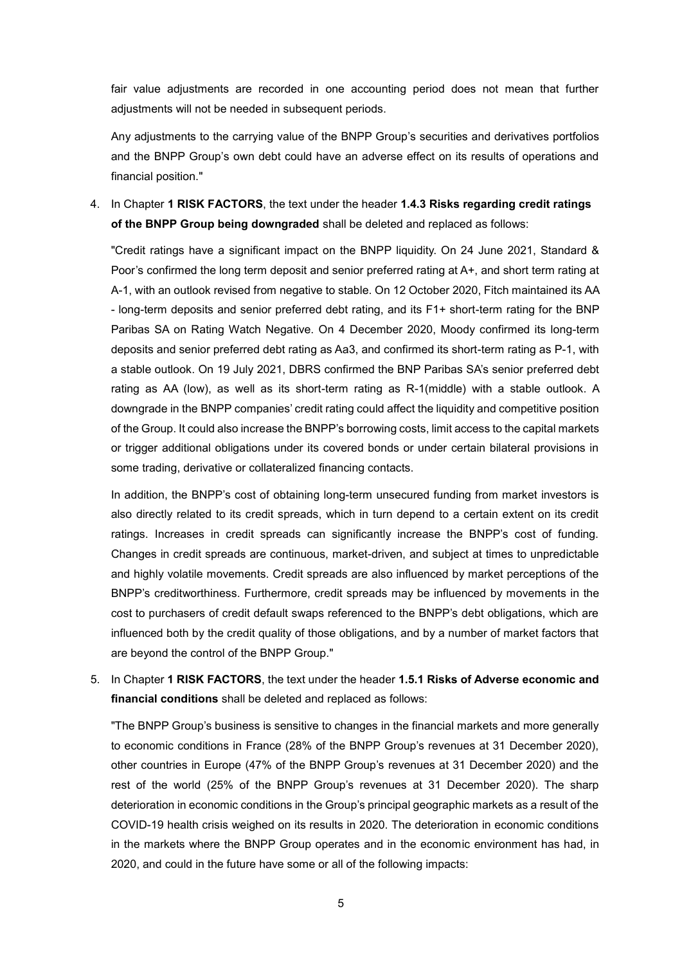fair value adjustments are recorded in one accounting period does not mean that further adjustments will not be needed in subsequent periods.

Any adjustments to the carrying value of the BNPP Group's securities and derivatives portfolios and the BNPP Group's own debt could have an adverse effect on its results of operations and financial position."

4. In Chapter **1 RISK FACTORS**, the text under the header **1.4.3 Risks regarding credit ratings of the BNPP Group being downgraded** shall be deleted and replaced as follows:

"Credit ratings have a significant impact on the BNPP liquidity. On 24 June 2021, Standard & Poor's confirmed the long term deposit and senior preferred rating at A+, and short term rating at A-1, with an outlook revised from negative to stable. On 12 October 2020, Fitch maintained its AA - long-term deposits and senior preferred debt rating, and its F1+ short-term rating for the BNP Paribas SA on Rating Watch Negative. On 4 December 2020, Moody confirmed its long-term deposits and senior preferred debt rating as Aa3, and confirmed its short-term rating as P-1, with a stable outlook. On 19 July 2021, DBRS confirmed the BNP Paribas SA's senior preferred debt rating as AA (low), as well as its short-term rating as R-1(middle) with a stable outlook. A downgrade in the BNPP companies' credit rating could affect the liquidity and competitive position of the Group. It could also increase the BNPP's borrowing costs, limit access to the capital markets or trigger additional obligations under its covered bonds or under certain bilateral provisions in some trading, derivative or collateralized financing contacts.

In addition, the BNPP's cost of obtaining long-term unsecured funding from market investors is also directly related to its credit spreads, which in turn depend to a certain extent on its credit ratings. Increases in credit spreads can significantly increase the BNPP's cost of funding. Changes in credit spreads are continuous, market-driven, and subject at times to unpredictable and highly volatile movements. Credit spreads are also influenced by market perceptions of the BNPP's creditworthiness. Furthermore, credit spreads may be influenced by movements in the cost to purchasers of credit default swaps referenced to the BNPP's debt obligations, which are influenced both by the credit quality of those obligations, and by a number of market factors that are beyond the control of the BNPP Group."

5. In Chapter **1 RISK FACTORS**, the text under the header **1.5.1 Risks of Adverse economic and financial conditions** shall be deleted and replaced as follows:

"The BNPP Group's business is sensitive to changes in the financial markets and more generally to economic conditions in France (28% of the BNPP Group's revenues at 31 December 2020), other countries in Europe (47% of the BNPP Group's revenues at 31 December 2020) and the rest of the world (25% of the BNPP Group's revenues at 31 December 2020). The sharp deterioration in economic conditions in the Group's principal geographic markets as a result of the COVID-19 health crisis weighed on its results in 2020. The deterioration in economic conditions in the markets where the BNPP Group operates and in the economic environment has had, in 2020, and could in the future have some or all of the following impacts: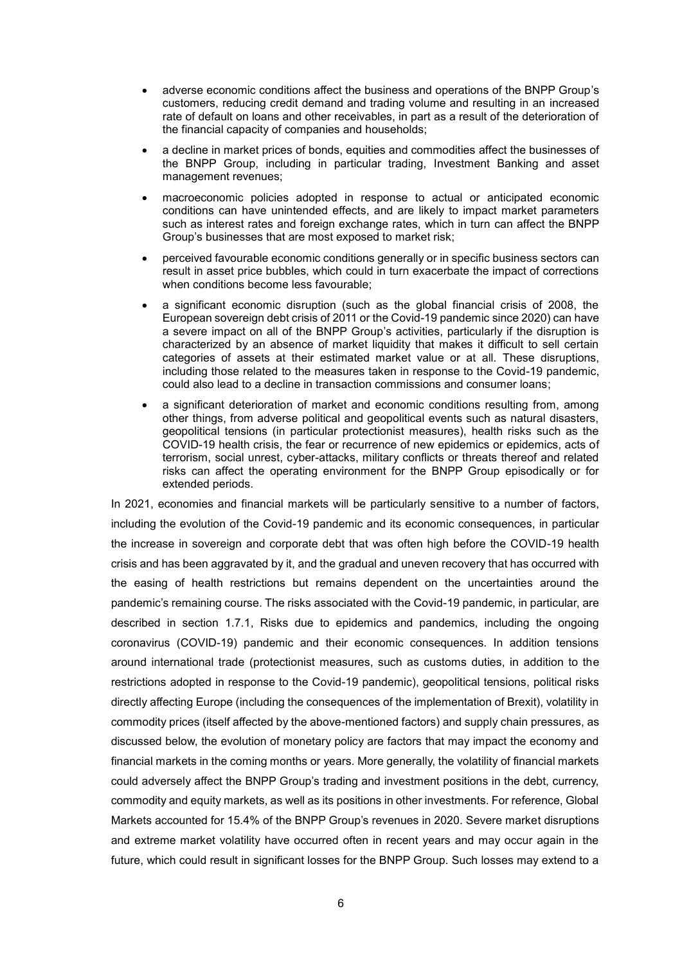- adverse economic conditions affect the business and operations of the BNPP Group's customers, reducing credit demand and trading volume and resulting in an increased rate of default on loans and other receivables, in part as a result of the deterioration of the financial capacity of companies and households;
- a decline in market prices of bonds, equities and commodities affect the businesses of the BNPP Group, including in particular trading, Investment Banking and asset management revenues;
- macroeconomic policies adopted in response to actual or anticipated economic conditions can have unintended effects, and are likely to impact market parameters such as interest rates and foreign exchange rates, which in turn can affect the BNPP Group's businesses that are most exposed to market risk;
- perceived favourable economic conditions generally or in specific business sectors can result in asset price bubbles, which could in turn exacerbate the impact of corrections when conditions become less favourable;
- a significant economic disruption (such as the global financial crisis of 2008, the European sovereign debt crisis of 2011 or the Covid-19 pandemic since 2020) can have a severe impact on all of the BNPP Group's activities, particularly if the disruption is characterized by an absence of market liquidity that makes it difficult to sell certain categories of assets at their estimated market value or at all. These disruptions, including those related to the measures taken in response to the Covid-19 pandemic, could also lead to a decline in transaction commissions and consumer loans;
- a significant deterioration of market and economic conditions resulting from, among other things, from adverse political and geopolitical events such as natural disasters, geopolitical tensions (in particular protectionist measures), health risks such as the COVID-19 health crisis, the fear or recurrence of new epidemics or epidemics, acts of terrorism, social unrest, cyber-attacks, military conflicts or threats thereof and related risks can affect the operating environment for the BNPP Group episodically or for extended periods.

In 2021, economies and financial markets will be particularly sensitive to a number of factors, including the evolution of the Covid-19 pandemic and its economic consequences, in particular the increase in sovereign and corporate debt that was often high before the COVID-19 health crisis and has been aggravated by it, and the gradual and uneven recovery that has occurred with the easing of health restrictions but remains dependent on the uncertainties around the pandemic's remaining course. The risks associated with the Covid-19 pandemic, in particular, are described in section 1.7.1, Risks due to epidemics and pandemics, including the ongoing coronavirus (COVID-19) pandemic and their economic consequences. In addition tensions around international trade (protectionist measures, such as customs duties, in addition to the restrictions adopted in response to the Covid-19 pandemic), geopolitical tensions, political risks directly affecting Europe (including the consequences of the implementation of Brexit), volatility in commodity prices (itself affected by the above-mentioned factors) and supply chain pressures, as discussed below, the evolution of monetary policy are factors that may impact the economy and financial markets in the coming months or years. More generally, the volatility of financial markets could adversely affect the BNPP Group's trading and investment positions in the debt, currency, commodity and equity markets, as well as its positions in other investments. For reference, Global Markets accounted for 15.4% of the BNPP Group's revenues in 2020. Severe market disruptions and extreme market volatility have occurred often in recent years and may occur again in the future, which could result in significant losses for the BNPP Group. Such losses may extend to a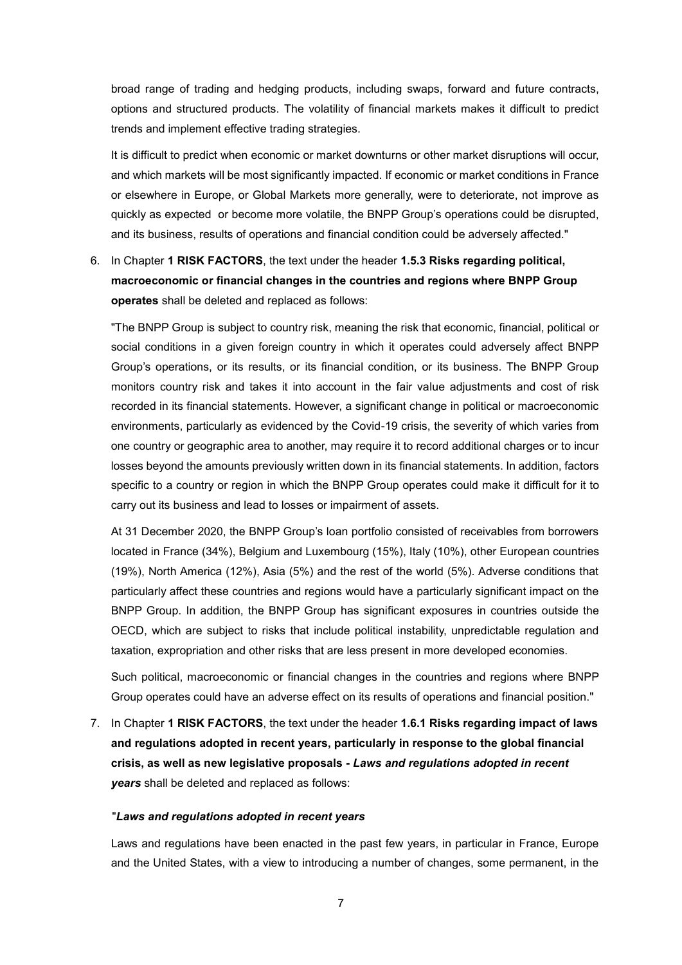broad range of trading and hedging products, including swaps, forward and future contracts, options and structured products. The volatility of financial markets makes it difficult to predict trends and implement effective trading strategies.

It is difficult to predict when economic or market downturns or other market disruptions will occur, and which markets will be most significantly impacted. If economic or market conditions in France or elsewhere in Europe, or Global Markets more generally, were to deteriorate, not improve as quickly as expected or become more volatile, the BNPP Group's operations could be disrupted, and its business, results of operations and financial condition could be adversely affected."

6. In Chapter **1 RISK FACTORS**, the text under the header **1.5.3 Risks regarding political, macroeconomic or financial changes in the countries and regions where BNPP Group operates** shall be deleted and replaced as follows:

"The BNPP Group is subject to country risk, meaning the risk that economic, financial, political or social conditions in a given foreign country in which it operates could adversely affect BNPP Group's operations, or its results, or its financial condition, or its business. The BNPP Group monitors country risk and takes it into account in the fair value adjustments and cost of risk recorded in its financial statements. However, a significant change in political or macroeconomic environments, particularly as evidenced by the Covid-19 crisis, the severity of which varies from one country or geographic area to another, may require it to record additional charges or to incur losses beyond the amounts previously written down in its financial statements. In addition, factors specific to a country or region in which the BNPP Group operates could make it difficult for it to carry out its business and lead to losses or impairment of assets.

At 31 December 2020, the BNPP Group's loan portfolio consisted of receivables from borrowers located in France (34%), Belgium and Luxembourg (15%), Italy (10%), other European countries (19%), North America (12%), Asia (5%) and the rest of the world (5%). Adverse conditions that particularly affect these countries and regions would have a particularly significant impact on the BNPP Group. In addition, the BNPP Group has significant exposures in countries outside the OECD, which are subject to risks that include political instability, unpredictable regulation and taxation, expropriation and other risks that are less present in more developed economies.

Such political, macroeconomic or financial changes in the countries and regions where BNPP Group operates could have an adverse effect on its results of operations and financial position."

7. In Chapter **1 RISK FACTORS**, the text under the header **1.6.1 Risks regarding impact of laws and regulations adopted in recent years, particularly in response to the global financial crisis, as well as new legislative proposals -** *Laws and regulations adopted in recent years* shall be deleted and replaced as follows:

### "*Laws and regulations adopted in recent years*

Laws and regulations have been enacted in the past few years, in particular in France, Europe and the United States, with a view to introducing a number of changes, some permanent, in the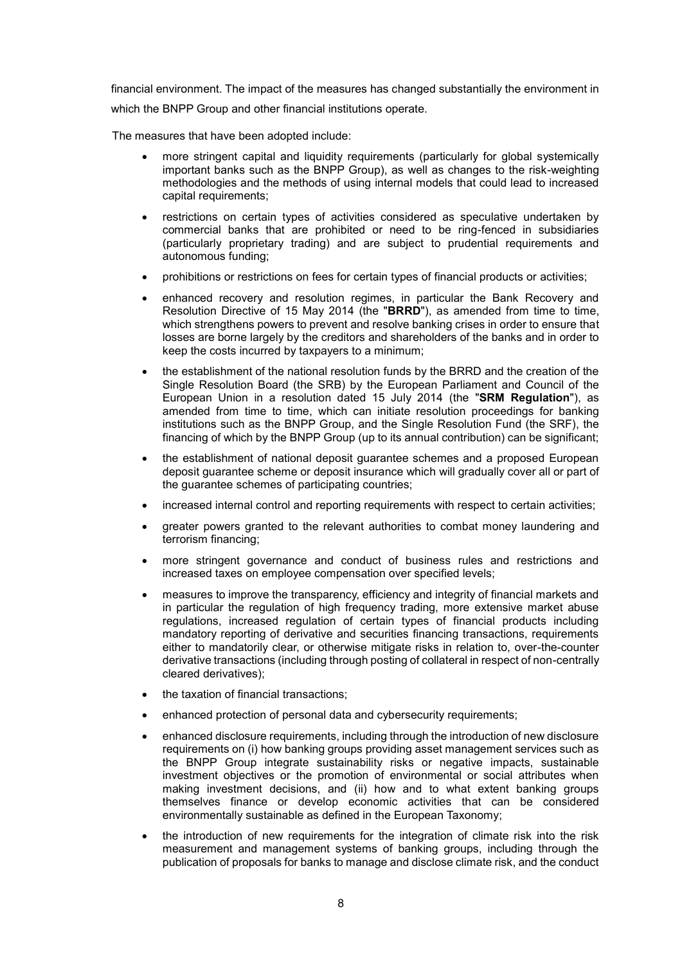financial environment. The impact of the measures has changed substantially the environment in which the BNPP Group and other financial institutions operate.

The measures that have been adopted include:

- more stringent capital and liquidity requirements (particularly for global systemically important banks such as the BNPP Group), as well as changes to the risk-weighting methodologies and the methods of using internal models that could lead to increased capital requirements;
- restrictions on certain types of activities considered as speculative undertaken by commercial banks that are prohibited or need to be ring-fenced in subsidiaries (particularly proprietary trading) and are subject to prudential requirements and autonomous funding;
- prohibitions or restrictions on fees for certain types of financial products or activities;
- enhanced recovery and resolution regimes, in particular the Bank Recovery and Resolution Directive of 15 May 2014 (the "**BRRD**"), as amended from time to time, which strengthens powers to prevent and resolve banking crises in order to ensure that losses are borne largely by the creditors and shareholders of the banks and in order to keep the costs incurred by taxpayers to a minimum;
- the establishment of the national resolution funds by the BRRD and the creation of the Single Resolution Board (the SRB) by the European Parliament and Council of the European Union in a resolution dated 15 July 2014 (the "**SRM Regulation**"), as amended from time to time, which can initiate resolution proceedings for banking institutions such as the BNPP Group, and the Single Resolution Fund (the SRF), the financing of which by the BNPP Group (up to its annual contribution) can be significant;
- the establishment of national deposit guarantee schemes and a proposed European deposit guarantee scheme or deposit insurance which will gradually cover all or part of the guarantee schemes of participating countries;
- increased internal control and reporting requirements with respect to certain activities;
- greater powers granted to the relevant authorities to combat money laundering and terrorism financing;
- more stringent governance and conduct of business rules and restrictions and increased taxes on employee compensation over specified levels;
- measures to improve the transparency, efficiency and integrity of financial markets and in particular the regulation of high frequency trading, more extensive market abuse regulations, increased regulation of certain types of financial products including mandatory reporting of derivative and securities financing transactions, requirements either to mandatorily clear, or otherwise mitigate risks in relation to, over-the-counter derivative transactions (including through posting of collateral in respect of non-centrally cleared derivatives);
- the taxation of financial transactions;
- enhanced protection of personal data and cybersecurity requirements;
- enhanced disclosure requirements, including through the introduction of new disclosure requirements on (i) how banking groups providing asset management services such as the BNPP Group integrate sustainability risks or negative impacts, sustainable investment objectives or the promotion of environmental or social attributes when making investment decisions, and (ii) how and to what extent banking groups themselves finance or develop economic activities that can be considered environmentally sustainable as defined in the European Taxonomy;
- the introduction of new requirements for the integration of climate risk into the risk measurement and management systems of banking groups, including through the publication of proposals for banks to manage and disclose climate risk, and the conduct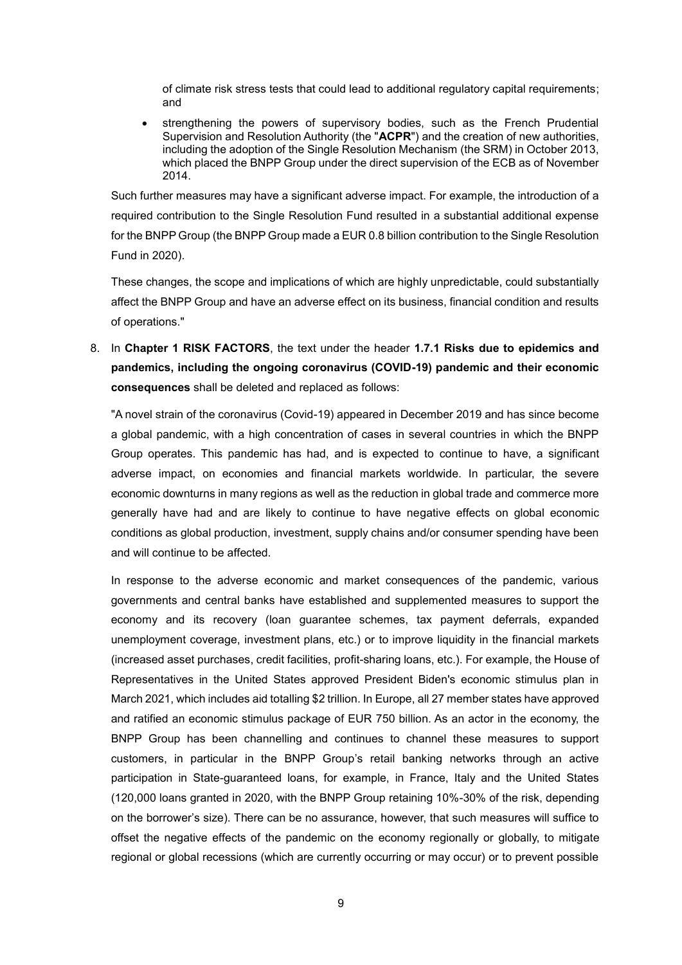of climate risk stress tests that could lead to additional regulatory capital requirements; and

 strengthening the powers of supervisory bodies, such as the French Prudential Supervision and Resolution Authority (the "**ACPR**") and the creation of new authorities, including the adoption of the Single Resolution Mechanism (the SRM) in October 2013, which placed the BNPP Group under the direct supervision of the ECB as of November 2014.

Such further measures may have a significant adverse impact. For example, the introduction of a required contribution to the Single Resolution Fund resulted in a substantial additional expense for the BNPP Group (the BNPP Group made a EUR 0.8 billion contribution to the Single Resolution Fund in 2020).

These changes, the scope and implications of which are highly unpredictable, could substantially affect the BNPP Group and have an adverse effect on its business, financial condition and results of operations."

8. In **Chapter 1 RISK FACTORS**, the text under the header **1.7.1 Risks due to epidemics and pandemics, including the ongoing coronavirus (COVID-19) pandemic and their economic consequences** shall be deleted and replaced as follows:

"A novel strain of the coronavirus (Covid-19) appeared in December 2019 and has since become a global pandemic, with a high concentration of cases in several countries in which the BNPP Group operates. This pandemic has had, and is expected to continue to have, a significant adverse impact, on economies and financial markets worldwide. In particular, the severe economic downturns in many regions as well as the reduction in global trade and commerce more generally have had and are likely to continue to have negative effects on global economic conditions as global production, investment, supply chains and/or consumer spending have been and will continue to be affected.

In response to the adverse economic and market consequences of the pandemic, various governments and central banks have established and supplemented measures to support the economy and its recovery (loan guarantee schemes, tax payment deferrals, expanded unemployment coverage, investment plans, etc.) or to improve liquidity in the financial markets (increased asset purchases, credit facilities, profit-sharing loans, etc.). For example, the House of Representatives in the United States approved President Biden's economic stimulus plan in March 2021, which includes aid totalling \$2 trillion. In Europe, all 27 member states have approved and ratified an economic stimulus package of EUR 750 billion. As an actor in the economy, the BNPP Group has been channelling and continues to channel these measures to support customers, in particular in the BNPP Group's retail banking networks through an active participation in State-guaranteed loans, for example, in France, Italy and the United States (120,000 loans granted in 2020, with the BNPP Group retaining 10%-30% of the risk, depending on the borrower's size). There can be no assurance, however, that such measures will suffice to offset the negative effects of the pandemic on the economy regionally or globally, to mitigate regional or global recessions (which are currently occurring or may occur) or to prevent possible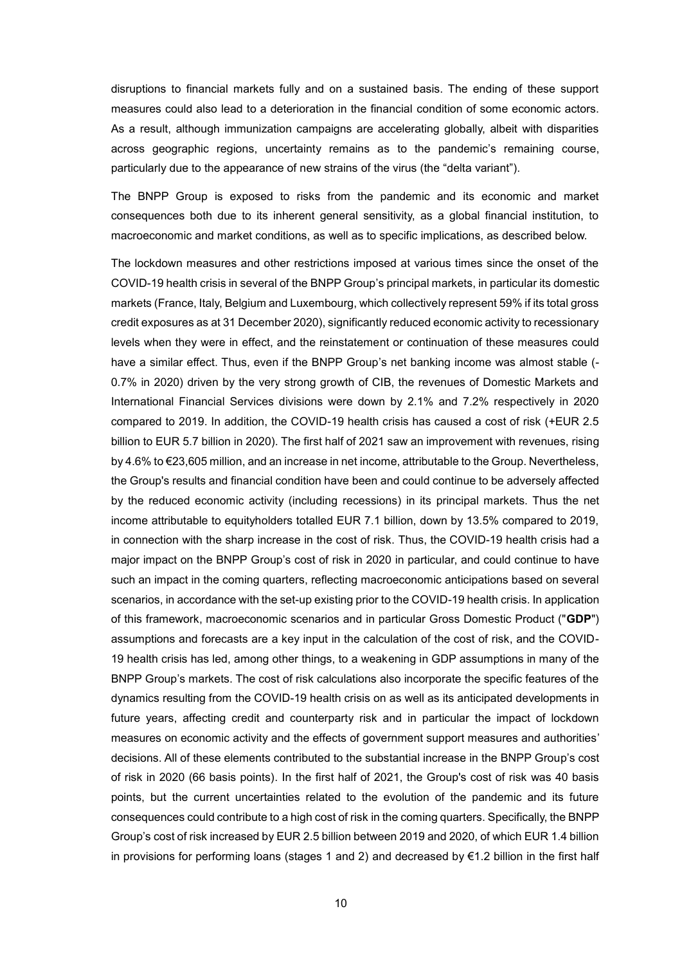disruptions to financial markets fully and on a sustained basis. The ending of these support measures could also lead to a deterioration in the financial condition of some economic actors. As a result, although immunization campaigns are accelerating globally, albeit with disparities across geographic regions, uncertainty remains as to the pandemic's remaining course, particularly due to the appearance of new strains of the virus (the "delta variant").

The BNPP Group is exposed to risks from the pandemic and its economic and market consequences both due to its inherent general sensitivity, as a global financial institution, to macroeconomic and market conditions, as well as to specific implications, as described below.

The lockdown measures and other restrictions imposed at various times since the onset of the COVID-19 health crisis in several of the BNPP Group's principal markets, in particular its domestic markets (France, Italy, Belgium and Luxembourg, which collectively represent 59% if its total gross credit exposures as at 31 December 2020), significantly reduced economic activity to recessionary levels when they were in effect, and the reinstatement or continuation of these measures could have a similar effect. Thus, even if the BNPP Group's net banking income was almost stable (- 0.7% in 2020) driven by the very strong growth of CIB, the revenues of Domestic Markets and International Financial Services divisions were down by 2.1% and 7.2% respectively in 2020 compared to 2019. In addition, the COVID-19 health crisis has caused a cost of risk (+EUR 2.5 billion to EUR 5.7 billion in 2020). The first half of 2021 saw an improvement with revenues, rising by 4.6% to €23,605 million, and an increase in net income, attributable to the Group. Nevertheless, the Group's results and financial condition have been and could continue to be adversely affected by the reduced economic activity (including recessions) in its principal markets. Thus the net income attributable to equityholders totalled EUR 7.1 billion, down by 13.5% compared to 2019, in connection with the sharp increase in the cost of risk. Thus, the COVID-19 health crisis had a major impact on the BNPP Group's cost of risk in 2020 in particular, and could continue to have such an impact in the coming quarters, reflecting macroeconomic anticipations based on several scenarios, in accordance with the set-up existing prior to the COVID-19 health crisis. In application of this framework, macroeconomic scenarios and in particular Gross Domestic Product ("**GDP**") assumptions and forecasts are a key input in the calculation of the cost of risk, and the COVID-19 health crisis has led, among other things, to a weakening in GDP assumptions in many of the BNPP Group's markets. The cost of risk calculations also incorporate the specific features of the dynamics resulting from the COVID-19 health crisis on as well as its anticipated developments in future years, affecting credit and counterparty risk and in particular the impact of lockdown measures on economic activity and the effects of government support measures and authorities' decisions. All of these elements contributed to the substantial increase in the BNPP Group's cost of risk in 2020 (66 basis points). In the first half of 2021, the Group's cost of risk was 40 basis points, but the current uncertainties related to the evolution of the pandemic and its future consequences could contribute to a high cost of risk in the coming quarters. Specifically, the BNPP Group's cost of risk increased by EUR 2.5 billion between 2019 and 2020, of which EUR 1.4 billion in provisions for performing loans (stages 1 and 2) and decreased by  $\epsilon$ 1.2 billion in the first half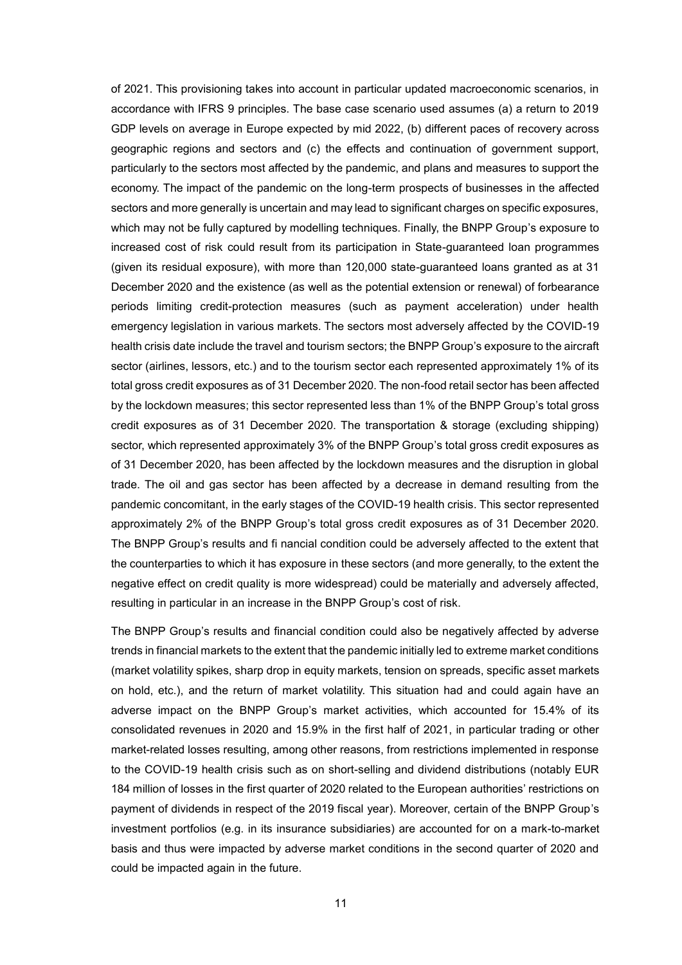of 2021. This provisioning takes into account in particular updated macroeconomic scenarios, in accordance with IFRS 9 principles. The base case scenario used assumes (a) a return to 2019 GDP levels on average in Europe expected by mid 2022, (b) different paces of recovery across geographic regions and sectors and (c) the effects and continuation of government support, particularly to the sectors most affected by the pandemic, and plans and measures to support the economy. The impact of the pandemic on the long-term prospects of businesses in the affected sectors and more generally is uncertain and may lead to significant charges on specific exposures, which may not be fully captured by modelling techniques. Finally, the BNPP Group's exposure to increased cost of risk could result from its participation in State-guaranteed loan programmes (given its residual exposure), with more than 120,000 state-guaranteed loans granted as at 31 December 2020 and the existence (as well as the potential extension or renewal) of forbearance periods limiting credit-protection measures (such as payment acceleration) under health emergency legislation in various markets. The sectors most adversely affected by the COVID-19 health crisis date include the travel and tourism sectors; the BNPP Group's exposure to the aircraft sector (airlines, lessors, etc.) and to the tourism sector each represented approximately 1% of its total gross credit exposures as of 31 December 2020. The non-food retail sector has been affected by the lockdown measures; this sector represented less than 1% of the BNPP Group's total gross credit exposures as of 31 December 2020. The transportation & storage (excluding shipping) sector, which represented approximately 3% of the BNPP Group's total gross credit exposures as of 31 December 2020, has been affected by the lockdown measures and the disruption in global trade. The oil and gas sector has been affected by a decrease in demand resulting from the pandemic concomitant, in the early stages of the COVID-19 health crisis. This sector represented approximately 2% of the BNPP Group's total gross credit exposures as of 31 December 2020. The BNPP Group's results and fi nancial condition could be adversely affected to the extent that the counterparties to which it has exposure in these sectors (and more generally, to the extent the negative effect on credit quality is more widespread) could be materially and adversely affected, resulting in particular in an increase in the BNPP Group's cost of risk.

The BNPP Group's results and financial condition could also be negatively affected by adverse trends in financial markets to the extent that the pandemic initially led to extreme market conditions (market volatility spikes, sharp drop in equity markets, tension on spreads, specific asset markets on hold, etc.), and the return of market volatility. This situation had and could again have an adverse impact on the BNPP Group's market activities, which accounted for 15.4% of its consolidated revenues in 2020 and 15.9% in the first half of 2021, in particular trading or other market-related losses resulting, among other reasons, from restrictions implemented in response to the COVID-19 health crisis such as on short-selling and dividend distributions (notably EUR 184 million of losses in the first quarter of 2020 related to the European authorities' restrictions on payment of dividends in respect of the 2019 fiscal year). Moreover, certain of the BNPP Group's investment portfolios (e.g. in its insurance subsidiaries) are accounted for on a mark-to-market basis and thus were impacted by adverse market conditions in the second quarter of 2020 and could be impacted again in the future.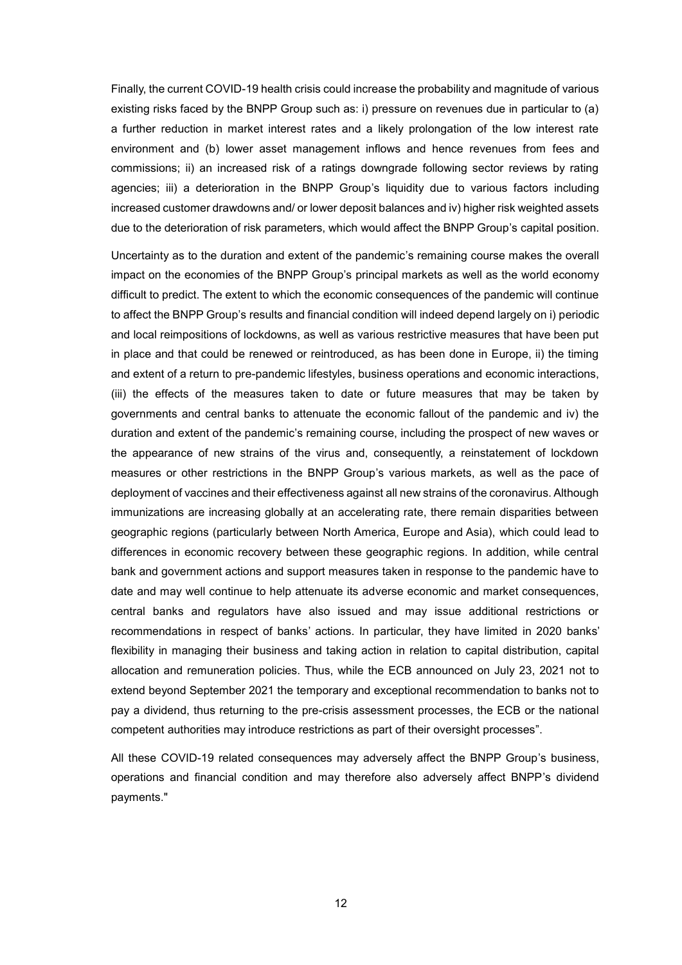Finally, the current COVID-19 health crisis could increase the probability and magnitude of various existing risks faced by the BNPP Group such as: i) pressure on revenues due in particular to (a) a further reduction in market interest rates and a likely prolongation of the low interest rate environment and (b) lower asset management inflows and hence revenues from fees and commissions; ii) an increased risk of a ratings downgrade following sector reviews by rating agencies; iii) a deterioration in the BNPP Group's liquidity due to various factors including increased customer drawdowns and/ or lower deposit balances and iv) higher risk weighted assets due to the deterioration of risk parameters, which would affect the BNPP Group's capital position.

Uncertainty as to the duration and extent of the pandemic's remaining course makes the overall impact on the economies of the BNPP Group's principal markets as well as the world economy difficult to predict. The extent to which the economic consequences of the pandemic will continue to affect the BNPP Group's results and financial condition will indeed depend largely on i) periodic and local reimpositions of lockdowns, as well as various restrictive measures that have been put in place and that could be renewed or reintroduced, as has been done in Europe, ii) the timing and extent of a return to pre-pandemic lifestyles, business operations and economic interactions, (iii) the effects of the measures taken to date or future measures that may be taken by governments and central banks to attenuate the economic fallout of the pandemic and iv) the duration and extent of the pandemic's remaining course, including the prospect of new waves or the appearance of new strains of the virus and, consequently, a reinstatement of lockdown measures or other restrictions in the BNPP Group's various markets, as well as the pace of deployment of vaccines and their effectiveness against all new strains of the coronavirus. Although immunizations are increasing globally at an accelerating rate, there remain disparities between geographic regions (particularly between North America, Europe and Asia), which could lead to differences in economic recovery between these geographic regions. In addition, while central bank and government actions and support measures taken in response to the pandemic have to date and may well continue to help attenuate its adverse economic and market consequences, central banks and regulators have also issued and may issue additional restrictions or recommendations in respect of banks' actions. In particular, they have limited in 2020 banks' flexibility in managing their business and taking action in relation to capital distribution, capital allocation and remuneration policies. Thus, while the ECB announced on July 23, 2021 not to extend beyond September 2021 the temporary and exceptional recommendation to banks not to pay a dividend, thus returning to the pre-crisis assessment processes, the ECB or the national competent authorities may introduce restrictions as part of their oversight processes".

All these COVID-19 related consequences may adversely affect the BNPP Group's business, operations and financial condition and may therefore also adversely affect BNPP's dividend payments."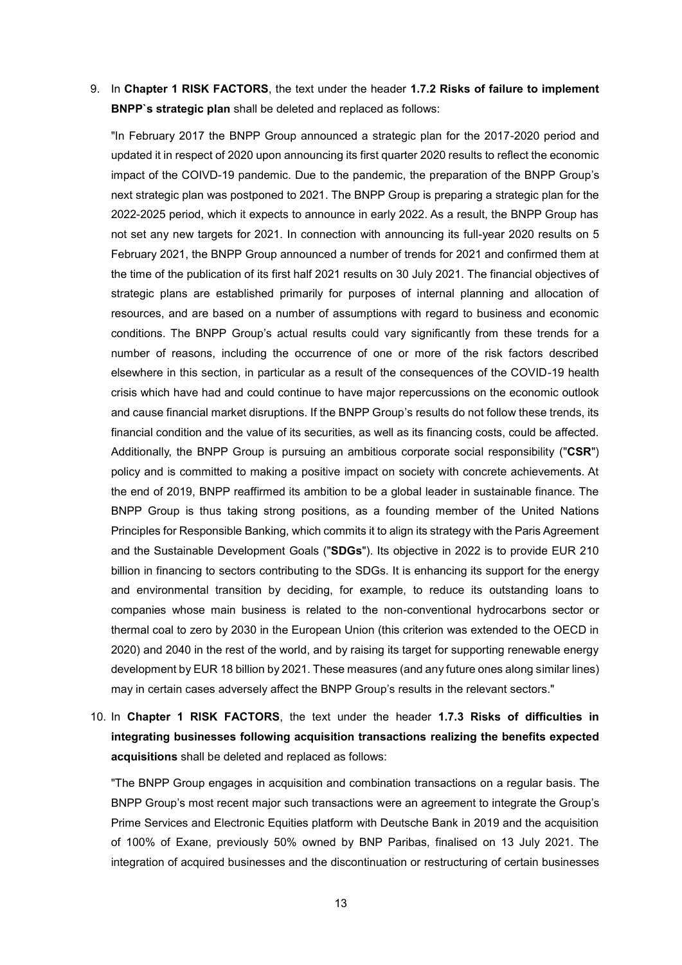## 9. In **Chapter 1 RISK FACTORS**, the text under the header **1.7.2 Risks of failure to implement BNPP`s strategic plan** shall be deleted and replaced as follows:

"In February 2017 the BNPP Group announced a strategic plan for the 2017-2020 period and updated it in respect of 2020 upon announcing its first quarter 2020 results to reflect the economic impact of the COIVD-19 pandemic. Due to the pandemic, the preparation of the BNPP Group's next strategic plan was postponed to 2021. The BNPP Group is preparing a strategic plan for the 2022-2025 period, which it expects to announce in early 2022. As a result, the BNPP Group has not set any new targets for 2021. In connection with announcing its full-year 2020 results on 5 February 2021, the BNPP Group announced a number of trends for 2021 and confirmed them at the time of the publication of its first half 2021 results on 30 July 2021. The financial objectives of strategic plans are established primarily for purposes of internal planning and allocation of resources, and are based on a number of assumptions with regard to business and economic conditions. The BNPP Group's actual results could vary significantly from these trends for a number of reasons, including the occurrence of one or more of the risk factors described elsewhere in this section, in particular as a result of the consequences of the COVID-19 health crisis which have had and could continue to have major repercussions on the economic outlook and cause financial market disruptions. If the BNPP Group's results do not follow these trends, its financial condition and the value of its securities, as well as its financing costs, could be affected. Additionally, the BNPP Group is pursuing an ambitious corporate social responsibility ("**CSR**") policy and is committed to making a positive impact on society with concrete achievements. At the end of 2019, BNPP reaffirmed its ambition to be a global leader in sustainable finance. The BNPP Group is thus taking strong positions, as a founding member of the United Nations Principles for Responsible Banking, which commits it to align its strategy with the Paris Agreement and the Sustainable Development Goals ("**SDGs**"). Its objective in 2022 is to provide EUR 210 billion in financing to sectors contributing to the SDGs. It is enhancing its support for the energy and environmental transition by deciding, for example, to reduce its outstanding loans to companies whose main business is related to the non-conventional hydrocarbons sector or thermal coal to zero by 2030 in the European Union (this criterion was extended to the OECD in 2020) and 2040 in the rest of the world, and by raising its target for supporting renewable energy development by EUR 18 billion by 2021. These measures (and any future ones along similar lines) may in certain cases adversely affect the BNPP Group's results in the relevant sectors."

10. In **Chapter 1 RISK FACTORS**, the text under the header **1.7.3 Risks of difficulties in integrating businesses following acquisition transactions realizing the benefits expected acquisitions** shall be deleted and replaced as follows:

"The BNPP Group engages in acquisition and combination transactions on a regular basis. The BNPP Group's most recent major such transactions were an agreement to integrate the Group's Prime Services and Electronic Equities platform with Deutsche Bank in 2019 and the acquisition of 100% of Exane, previously 50% owned by BNP Paribas, finalised on 13 July 2021. The integration of acquired businesses and the discontinuation or restructuring of certain businesses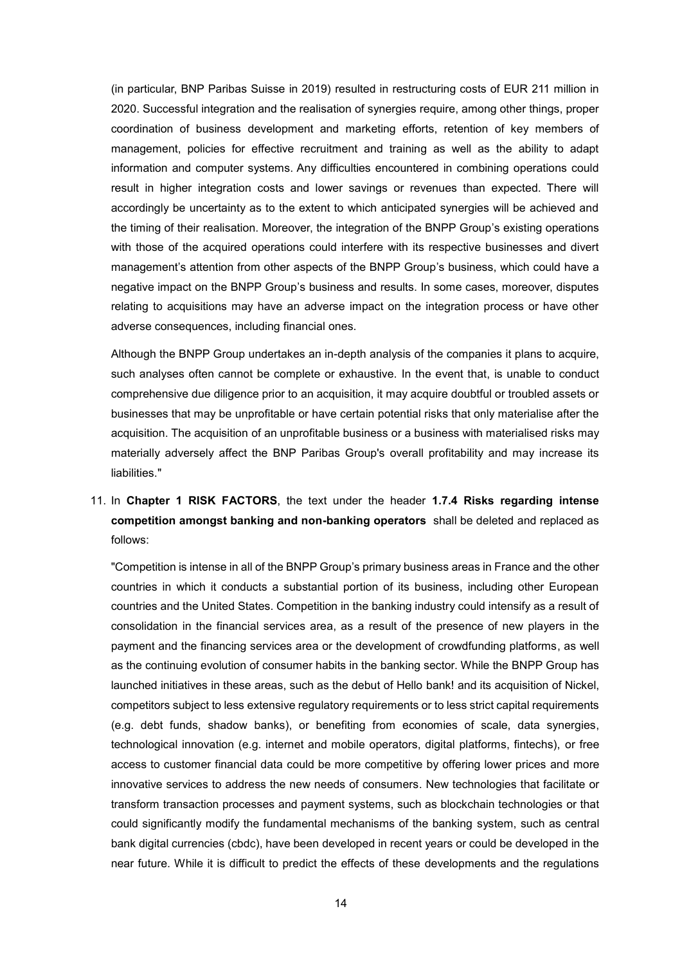(in particular, BNP Paribas Suisse in 2019) resulted in restructuring costs of EUR 211 million in 2020. Successful integration and the realisation of synergies require, among other things, proper coordination of business development and marketing efforts, retention of key members of management, policies for effective recruitment and training as well as the ability to adapt information and computer systems. Any difficulties encountered in combining operations could result in higher integration costs and lower savings or revenues than expected. There will accordingly be uncertainty as to the extent to which anticipated synergies will be achieved and the timing of their realisation. Moreover, the integration of the BNPP Group's existing operations with those of the acquired operations could interfere with its respective businesses and divert management's attention from other aspects of the BNPP Group's business, which could have a negative impact on the BNPP Group's business and results. In some cases, moreover, disputes relating to acquisitions may have an adverse impact on the integration process or have other adverse consequences, including financial ones.

Although the BNPP Group undertakes an in-depth analysis of the companies it plans to acquire, such analyses often cannot be complete or exhaustive. In the event that, is unable to conduct comprehensive due diligence prior to an acquisition, it may acquire doubtful or troubled assets or businesses that may be unprofitable or have certain potential risks that only materialise after the acquisition. The acquisition of an unprofitable business or a business with materialised risks may materially adversely affect the BNP Paribas Group's overall profitability and may increase its liabilities."

# 11. In **Chapter 1 RISK FACTORS**, the text under the header **1.7.4 Risks regarding intense competition amongst banking and non-banking operators** shall be deleted and replaced as follows:

"Competition is intense in all of the BNPP Group's primary business areas in France and the other countries in which it conducts a substantial portion of its business, including other European countries and the United States. Competition in the banking industry could intensify as a result of consolidation in the financial services area, as a result of the presence of new players in the payment and the financing services area or the development of crowdfunding platforms, as well as the continuing evolution of consumer habits in the banking sector. While the BNPP Group has launched initiatives in these areas, such as the debut of Hello bank! and its acquisition of Nickel, competitors subject to less extensive regulatory requirements or to less strict capital requirements (e.g. debt funds, shadow banks), or benefiting from economies of scale, data synergies, technological innovation (e.g. internet and mobile operators, digital platforms, fintechs), or free access to customer financial data could be more competitive by offering lower prices and more innovative services to address the new needs of consumers. New technologies that facilitate or transform transaction processes and payment systems, such as blockchain technologies or that could significantly modify the fundamental mechanisms of the banking system, such as central bank digital currencies (cbdc), have been developed in recent years or could be developed in the near future. While it is difficult to predict the effects of these developments and the regulations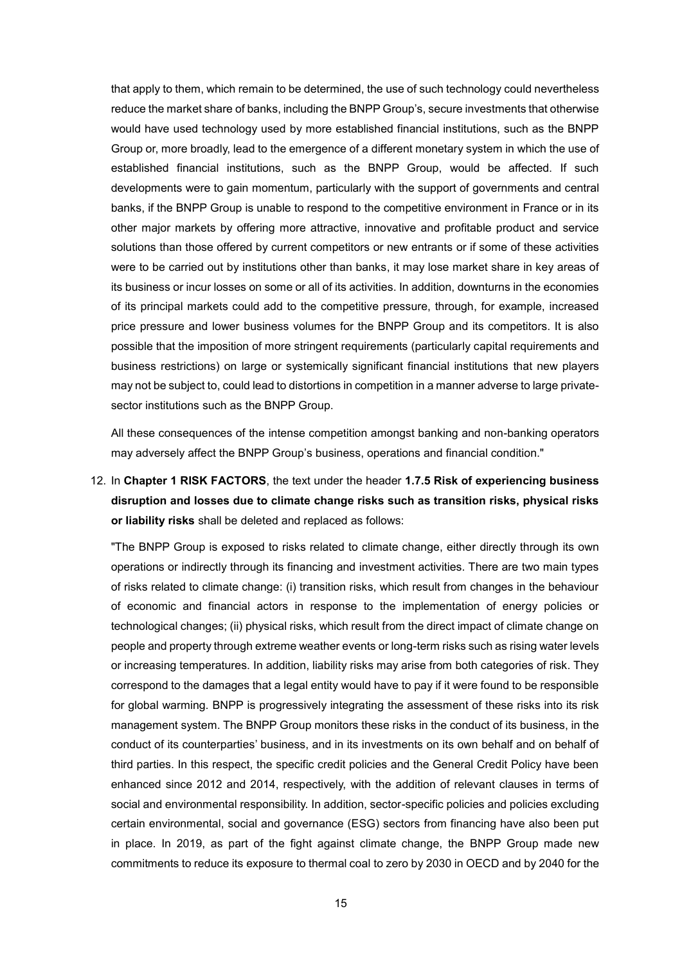that apply to them, which remain to be determined, the use of such technology could nevertheless reduce the market share of banks, including the BNPP Group's, secure investments that otherwise would have used technology used by more established financial institutions, such as the BNPP Group or, more broadly, lead to the emergence of a different monetary system in which the use of established financial institutions, such as the BNPP Group, would be affected. If such developments were to gain momentum, particularly with the support of governments and central banks, if the BNPP Group is unable to respond to the competitive environment in France or in its other major markets by offering more attractive, innovative and profitable product and service solutions than those offered by current competitors or new entrants or if some of these activities were to be carried out by institutions other than banks, it may lose market share in key areas of its business or incur losses on some or all of its activities. In addition, downturns in the economies of its principal markets could add to the competitive pressure, through, for example, increased price pressure and lower business volumes for the BNPP Group and its competitors. It is also possible that the imposition of more stringent requirements (particularly capital requirements and business restrictions) on large or systemically significant financial institutions that new players may not be subject to, could lead to distortions in competition in a manner adverse to large privatesector institutions such as the BNPP Group.

All these consequences of the intense competition amongst banking and non-banking operators may adversely affect the BNPP Group's business, operations and financial condition."

# 12. In **Chapter 1 RISK FACTORS**, the text under the header **1.7.5 Risk of experiencing business disruption and losses due to climate change risks such as transition risks, physical risks or liability risks** shall be deleted and replaced as follows:

"The BNPP Group is exposed to risks related to climate change, either directly through its own operations or indirectly through its financing and investment activities. There are two main types of risks related to climate change: (i) transition risks, which result from changes in the behaviour of economic and financial actors in response to the implementation of energy policies or technological changes; (ii) physical risks, which result from the direct impact of climate change on people and property through extreme weather events or long-term risks such as rising water levels or increasing temperatures. In addition, liability risks may arise from both categories of risk. They correspond to the damages that a legal entity would have to pay if it were found to be responsible for global warming. BNPP is progressively integrating the assessment of these risks into its risk management system. The BNPP Group monitors these risks in the conduct of its business, in the conduct of its counterparties' business, and in its investments on its own behalf and on behalf of third parties. In this respect, the specific credit policies and the General Credit Policy have been enhanced since 2012 and 2014, respectively, with the addition of relevant clauses in terms of social and environmental responsibility. In addition, sector-specific policies and policies excluding certain environmental, social and governance (ESG) sectors from financing have also been put in place. In 2019, as part of the fight against climate change, the BNPP Group made new commitments to reduce its exposure to thermal coal to zero by 2030 in OECD and by 2040 for the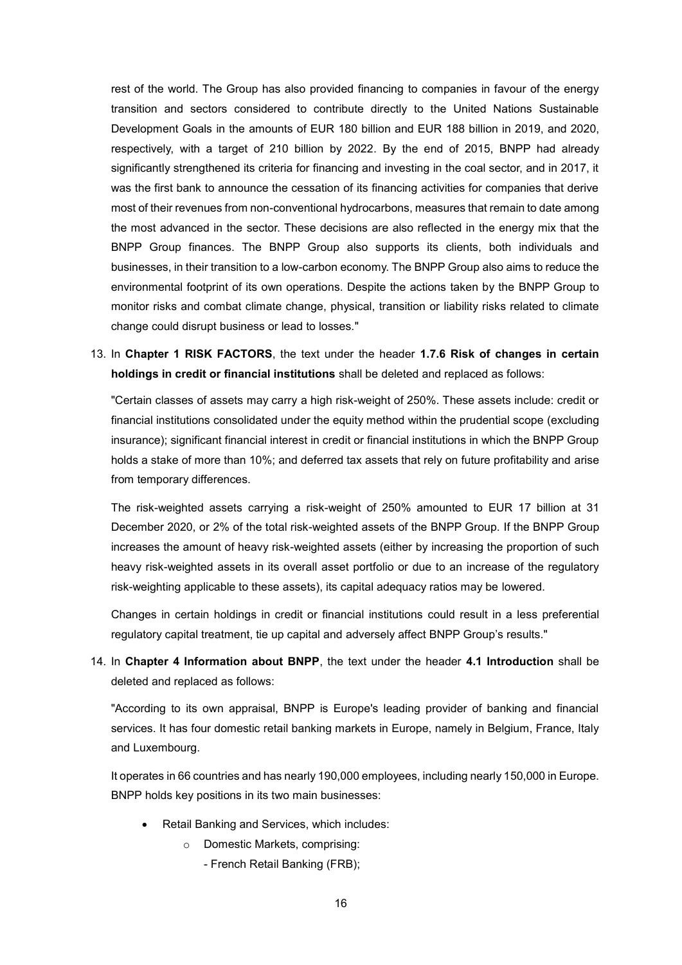rest of the world. The Group has also provided financing to companies in favour of the energy transition and sectors considered to contribute directly to the United Nations Sustainable Development Goals in the amounts of EUR 180 billion and EUR 188 billion in 2019, and 2020, respectively, with a target of 210 billion by 2022. By the end of 2015, BNPP had already significantly strengthened its criteria for financing and investing in the coal sector, and in 2017, it was the first bank to announce the cessation of its financing activities for companies that derive most of their revenues from non-conventional hydrocarbons, measures that remain to date among the most advanced in the sector. These decisions are also reflected in the energy mix that the BNPP Group finances. The BNPP Group also supports its clients, both individuals and businesses, in their transition to a low-carbon economy. The BNPP Group also aims to reduce the environmental footprint of its own operations. Despite the actions taken by the BNPP Group to monitor risks and combat climate change, physical, transition or liability risks related to climate change could disrupt business or lead to losses."

13. In **Chapter 1 RISK FACTORS**, the text under the header **1.7.6 Risk of changes in certain holdings in credit or financial institutions** shall be deleted and replaced as follows:

"Certain classes of assets may carry a high risk-weight of 250%. These assets include: credit or financial institutions consolidated under the equity method within the prudential scope (excluding insurance); significant financial interest in credit or financial institutions in which the BNPP Group holds a stake of more than 10%; and deferred tax assets that rely on future profitability and arise from temporary differences.

The risk-weighted assets carrying a risk-weight of 250% amounted to EUR 17 billion at 31 December 2020, or 2% of the total risk-weighted assets of the BNPP Group. If the BNPP Group increases the amount of heavy risk-weighted assets (either by increasing the proportion of such heavy risk-weighted assets in its overall asset portfolio or due to an increase of the regulatory risk-weighting applicable to these assets), its capital adequacy ratios may be lowered.

Changes in certain holdings in credit or financial institutions could result in a less preferential regulatory capital treatment, tie up capital and adversely affect BNPP Group's results."

14. In **Chapter 4 Information about BNPP**, the text under the header **4.1 Introduction** shall be deleted and replaced as follows:

"According to its own appraisal, BNPP is Europe's leading provider of banking and financial services. It has four domestic retail banking markets in Europe, namely in Belgium, France, Italy and Luxembourg.

It operates in 66 countries and has nearly 190,000 employees, including nearly 150,000 in Europe. BNPP holds key positions in its two main businesses:

- Retail Banking and Services, which includes:
	- o Domestic Markets, comprising:
		- French Retail Banking (FRB);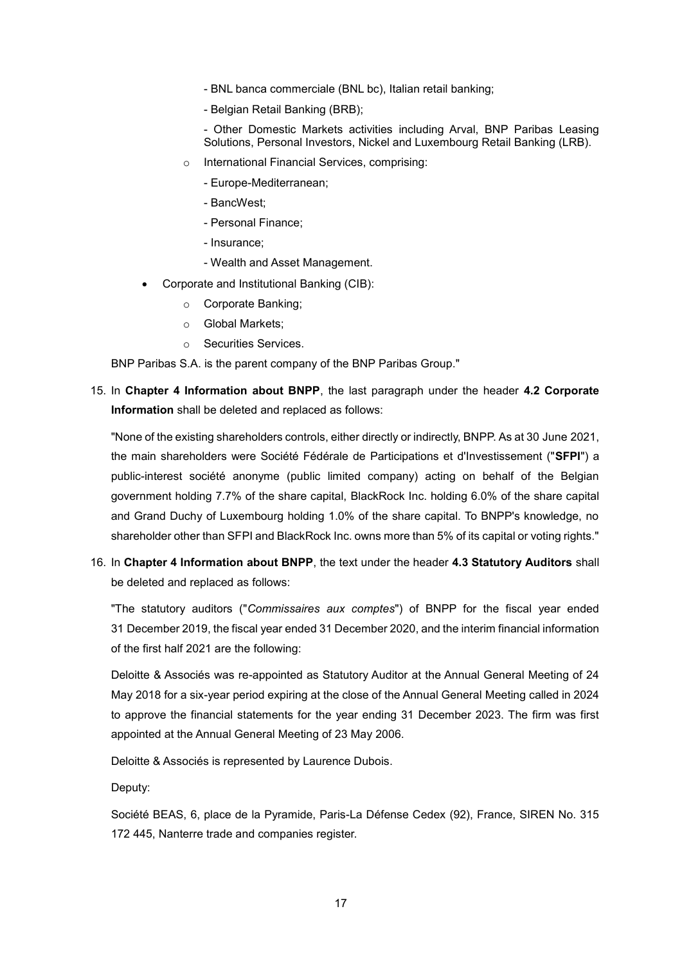- BNL banca commerciale (BNL bc), Italian retail banking;
- Belgian Retail Banking (BRB);

- Other Domestic Markets activities including Arval, BNP Paribas Leasing Solutions, Personal Investors, Nickel and Luxembourg Retail Banking (LRB).

- o International Financial Services, comprising:
	- Europe-Mediterranean;
	- BancWest;
	- Personal Finance;
	- Insurance;
	- Wealth and Asset Management.
- Corporate and Institutional Banking (CIB):
	- o Corporate Banking;
	- o Global Markets;
	- o Securities Services.

BNP Paribas S.A. is the parent company of the BNP Paribas Group."

15. In **Chapter 4 Information about BNPP**, the last paragraph under the header **4.2 Corporate Information** shall be deleted and replaced as follows:

"None of the existing shareholders controls, either directly or indirectly, BNPP. As at 30 June 2021, the main shareholders were Société Fédérale de Participations et d'Investissement ("**SFPI**") a public-interest société anonyme (public limited company) acting on behalf of the Belgian government holding 7.7% of the share capital, BlackRock Inc. holding 6.0% of the share capital and Grand Duchy of Luxembourg holding 1.0% of the share capital. To BNPP's knowledge, no shareholder other than SFPI and BlackRock Inc. owns more than 5% of its capital or voting rights."

16. In **Chapter 4 Information about BNPP**, the text under the header **4.3 Statutory Auditors** shall be deleted and replaced as follows:

"The statutory auditors ("*Commissaires aux comptes*") of BNPP for the fiscal year ended 31 December 2019, the fiscal year ended 31 December 2020, and the interim financial information of the first half 2021 are the following:

Deloitte & Associés was re-appointed as Statutory Auditor at the Annual General Meeting of 24 May 2018 for a six-year period expiring at the close of the Annual General Meeting called in 2024 to approve the financial statements for the year ending 31 December 2023. The firm was first appointed at the Annual General Meeting of 23 May 2006.

Deloitte & Associés is represented by Laurence Dubois.

Deputy:

Société BEAS, 6, place de la Pyramide, Paris-La Défense Cedex (92), France, SIREN No. 315 172 445, Nanterre trade and companies register.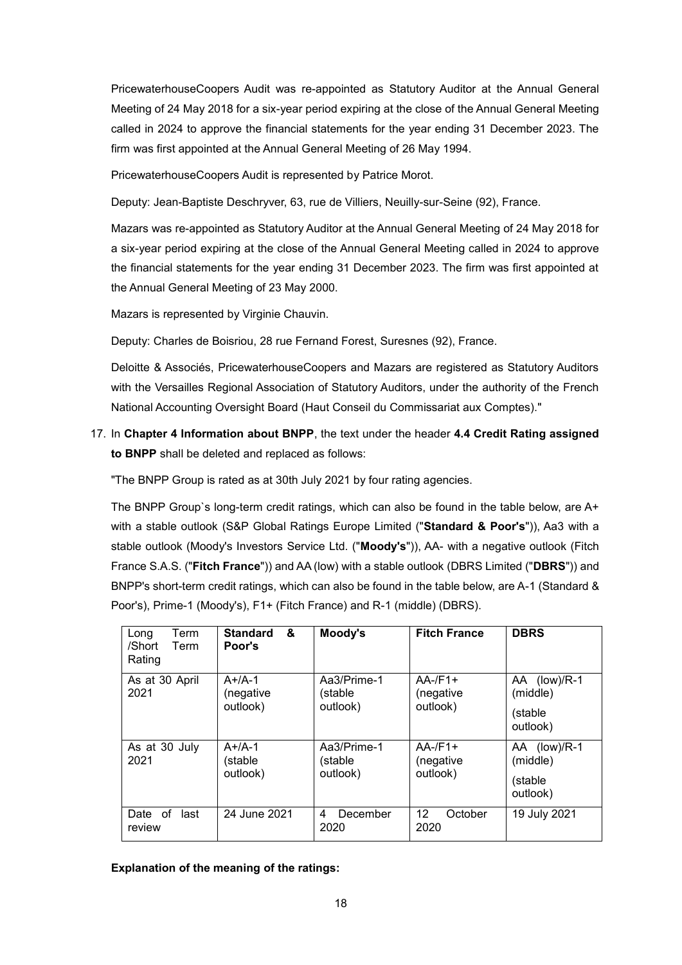PricewaterhouseCoopers Audit was re-appointed as Statutory Auditor at the Annual General Meeting of 24 May 2018 for a six-year period expiring at the close of the Annual General Meeting called in 2024 to approve the financial statements for the year ending 31 December 2023. The firm was first appointed at the Annual General Meeting of 26 May 1994.

PricewaterhouseCoopers Audit is represented by Patrice Morot.

Deputy: Jean-Baptiste Deschryver, 63, rue de Villiers, Neuilly-sur-Seine (92), France.

Mazars was re-appointed as Statutory Auditor at the Annual General Meeting of 24 May 2018 for a six-year period expiring at the close of the Annual General Meeting called in 2024 to approve the financial statements for the year ending 31 December 2023. The firm was first appointed at the Annual General Meeting of 23 May 2000.

Mazars is represented by Virginie Chauvin.

Deputy: Charles de Boisriou, 28 rue Fernand Forest, Suresnes (92), France.

Deloitte & Associés, PricewaterhouseCoopers and Mazars are registered as Statutory Auditors with the Versailles Regional Association of Statutory Auditors, under the authority of the French National Accounting Oversight Board (Haut Conseil du Commissariat aux Comptes)."

17. In **Chapter 4 Information about BNPP**, the text under the header **4.4 Credit Rating assigned to BNPP** shall be deleted and replaced as follows:

"The BNPP Group is rated as at 30th July 2021 by four rating agencies.

The BNPP Group`s long-term credit ratings, which can also be found in the table below, are A+ with a stable outlook (S&P Global Ratings Europe Limited ("**Standard & Poor's**")), Aa3 with a stable outlook (Moody's Investors Service Ltd. ("**Moody's**")), AA- with a negative outlook (Fitch France S.A.S. ("**Fitch France**")) and AA (low) with a stable outlook (DBRS Limited ("**DBRS**")) and BNPP's short-term credit ratings, which can also be found in the table below, are A-1 (Standard & Poor's), Prime-1 (Moody's), F1+ (Fitch France) and R-1 (middle) (DBRS).

| Term<br>Long<br>/Short<br>Term<br>Rating | &<br><b>Standard</b><br>Poor's    | Moody's                            | <b>Fitch France</b>                 | <b>DBRS</b>                                     |
|------------------------------------------|-----------------------------------|------------------------------------|-------------------------------------|-------------------------------------------------|
| As at 30 April<br>2021                   | $A+/A-1$<br>(negative<br>outlook) | Aa3/Prime-1<br>(stable<br>outlook) | $AA$ -/F1+<br>(negative<br>outlook) | AA (low)/R-1<br>(middle)<br>(stable<br>outlook) |
| As at 30 July<br>2021                    | $A+/A-1$<br>(stable<br>outlook)   | Aa3/Prime-1<br>(stable<br>outlook) | $AA$ -/F1+<br>(negative<br>outlook) | AA (low)/R-1<br>(middle)<br>(stable<br>outlook) |
| Date of<br>last<br>review                | 24 June 2021                      | December<br>4<br>2020              | 12<br>October<br>2020               | 19 July 2021                                    |

**Explanation of the meaning of the ratings:**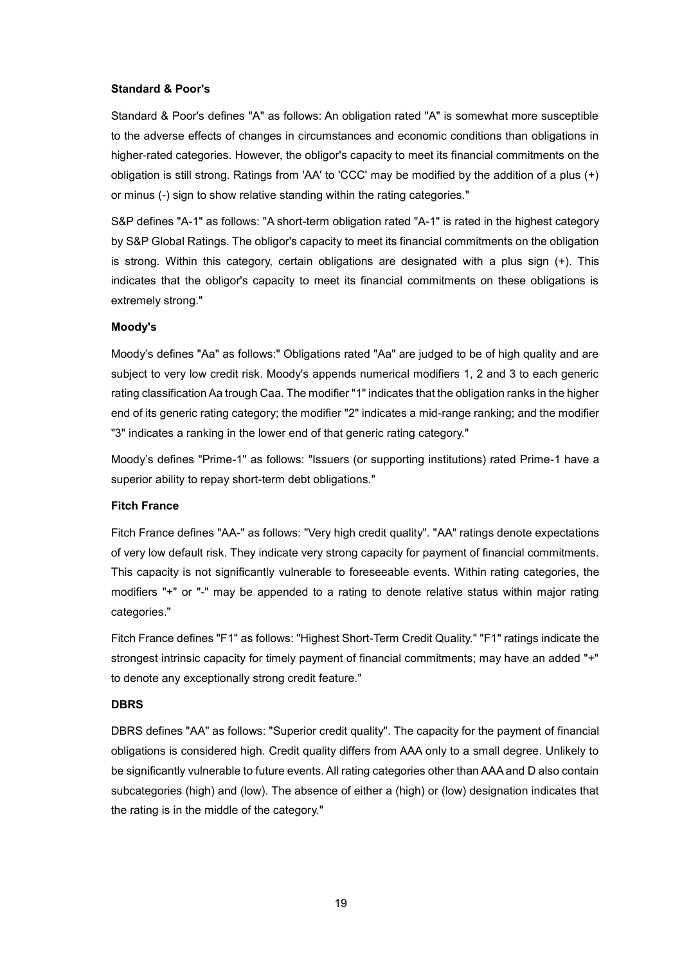### **Standard & Poor's**

Standard & Poor's defines "A" as follows: An obligation rated "A" is somewhat more susceptible to the adverse effects of changes in circumstances and economic conditions than obligations in higher-rated categories. However, the obligor's capacity to meet its financial commitments on the obligation is still strong. Ratings from 'AA' to 'CCC' may be modified by the addition of a plus (+) or minus (-) sign to show relative standing within the rating categories."

S&P defines "A-1" as follows: "A short-term obligation rated "A-1" is rated in the highest category by S&P Global Ratings. The obligor's capacity to meet its financial commitments on the obligation is strong. Within this category, certain obligations are designated with a plus sign (+). This indicates that the obligor's capacity to meet its financial commitments on these obligations is extremely strong."

#### **Moody's**

Moody's defines "Aa" as follows:" Obligations rated "Aa" are judged to be of high quality and are subject to very low credit risk. Moody's appends numerical modifiers 1, 2 and 3 to each generic rating classification Aa trough Caa. The modifier "1" indicates that the obligation ranks in the higher end of its generic rating category; the modifier "2" indicates a mid-range ranking; and the modifier "3" indicates a ranking in the lower end of that generic rating category."

Moody's defines "Prime-1" as follows: "Issuers (or supporting institutions) rated Prime-1 have a superior ability to repay short-term debt obligations."

#### **Fitch France**

Fitch France defines "AA-" as follows: "Very high credit quality". "AA" ratings denote expectations of very low default risk. They indicate very strong capacity for payment of financial commitments. This capacity is not significantly vulnerable to foreseeable events. Within rating categories, the modifiers "+" or "-" may be appended to a rating to denote relative status within major rating categories."

Fitch France defines "F1" as follows: "Highest Short-Term Credit Quality." "F1" ratings indicate the strongest intrinsic capacity for timely payment of financial commitments; may have an added "+" to denote any exceptionally strong credit feature."

#### **DBRS**

DBRS defines "AA" as follows: "Superior credit quality". The capacity for the payment of financial obligations is considered high. Credit quality differs from AAA only to a small degree. Unlikely to be significantly vulnerable to future events. All rating categories other than AAA and D also contain subcategories (high) and (low). The absence of either a (high) or (low) designation indicates that the rating is in the middle of the category."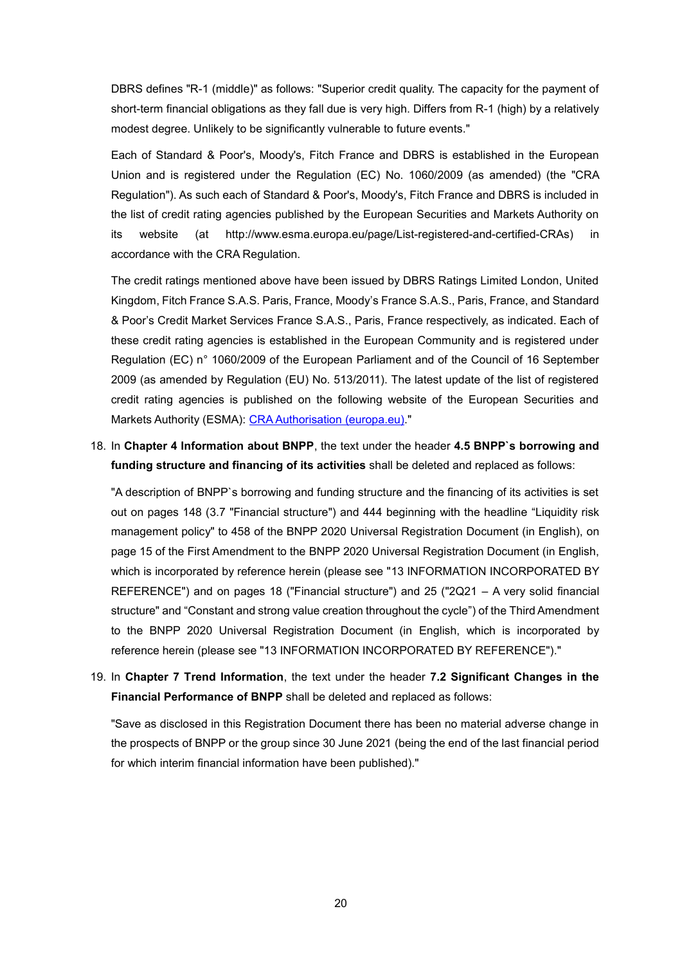DBRS defines "R-1 (middle)" as follows: "Superior credit quality. The capacity for the payment of short-term financial obligations as they fall due is very high. Differs from R-1 (high) by a relatively modest degree. Unlikely to be significantly vulnerable to future events."

Each of Standard & Poor's, Moody's, Fitch France and DBRS is established in the European Union and is registered under the Regulation (EC) No. 1060/2009 (as amended) (the "CRA Regulation"). As such each of Standard & Poor's, Moody's, Fitch France and DBRS is included in the list of credit rating agencies published by the European Securities and Markets Authority on its website (at http://www.esma.europa.eu/page/List-registered-and-certified-CRAs) in accordance with the CRA Regulation.

The credit ratings mentioned above have been issued by DBRS Ratings Limited London, United Kingdom, Fitch France S.A.S. Paris, France, Moody's France S.A.S., Paris, France, and Standard & Poor's Credit Market Services France S.A.S., Paris, France respectively, as indicated. Each of these credit rating agencies is established in the European Community and is registered under Regulation (EC) n° 1060/2009 of the European Parliament and of the Council of 16 September 2009 (as amended by Regulation (EU) No. 513/2011). The latest update of the list of registered credit rating agencies is published on the following website of the European Securities and Markets Authority (ESMA): [CRA Authorisation \(europa.eu\).](https://www.esma.europa.eu/supervision/credit-rating-agencies/risk)"

### 18. In **Chapter 4 Information about BNPP**, the text under the header **4.5 BNPP`s borrowing and funding structure and financing of its activities** shall be deleted and replaced as follows:

"A description of BNPP`s borrowing and funding structure and the financing of its activities is set out on pages 148 (3.7 "Financial structure") and 444 beginning with the headline "Liquidity risk management policy" to 458 of the BNPP 2020 Universal Registration Document (in English), on page 15 of the First Amendment to the BNPP 2020 Universal Registration Document (in English, which is incorporated by reference herein (please see "13 INFORMATION INCORPORATED BY REFERENCE") and on pages 18 ("Financial structure") and 25 ("2Q21 – A very solid financial structure" and "Constant and strong value creation throughout the cycle") of the Third Amendment to the BNPP 2020 Universal Registration Document (in English, which is incorporated by reference herein (please see "13 INFORMATION INCORPORATED BY REFERENCE")."

### 19. In **Chapter 7 Trend Information**, the text under the header **7.2 Significant Changes in the Financial Performance of BNPP** shall be deleted and replaced as follows:

"Save as disclosed in this Registration Document there has been no material adverse change in the prospects of BNPP or the group since 30 June 2021 (being the end of the last financial period for which interim financial information have been published)."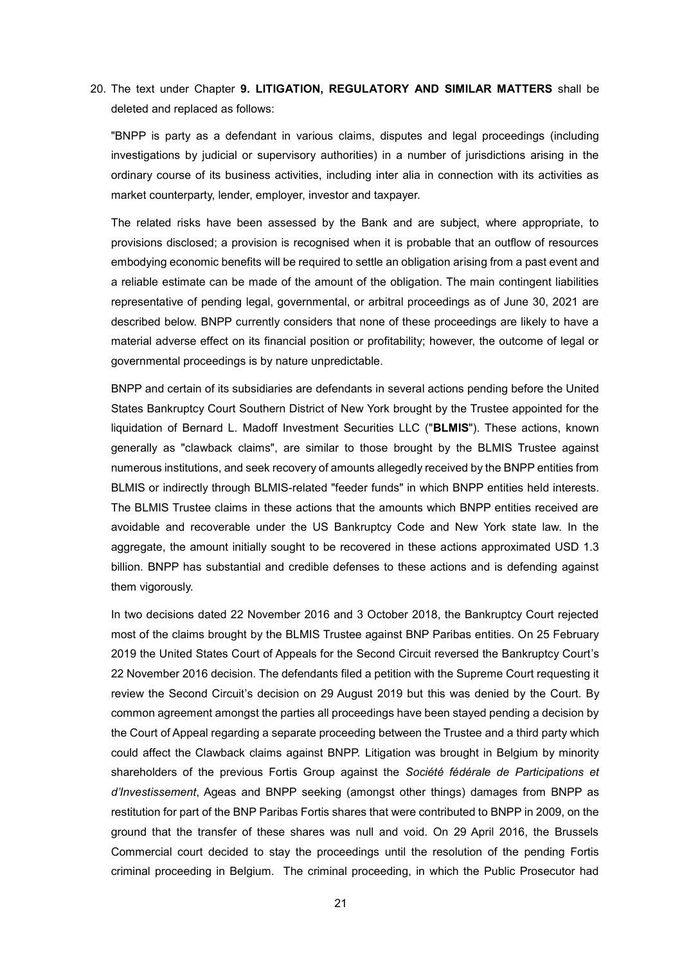20. The text under Chapter **9. LITIGATION, REGULATORY AND SIMILAR MATTERS** shall be deleted and replaced as follows:

"BNPP is party as a defendant in various claims, disputes and legal proceedings (including investigations by judicial or supervisory authorities) in a number of jurisdictions arising in the ordinary course of its business activities, including inter alia in connection with its activities as market counterparty, lender, employer, investor and taxpayer.

The related risks have been assessed by the Bank and are subject, where appropriate, to provisions disclosed; a provision is recognised when it is probable that an outflow of resources embodying economic benefits will be required to settle an obligation arising from a past event and a reliable estimate can be made of the amount of the obligation. The main contingent liabilities representative of pending legal, governmental, or arbitral proceedings as of June 30, 2021 are described below. BNPP currently considers that none of these proceedings are likely to have a material adverse effect on its financial position or profitability; however, the outcome of legal or governmental proceedings is by nature unpredictable.

BNPP and certain of its subsidiaries are defendants in several actions pending before the United States Bankruptcy Court Southern District of New York brought by the Trustee appointed for the liquidation of Bernard L. Madoff Investment Securities LLC ("**BLMIS**"). These actions, known generally as "clawback claims", are similar to those brought by the BLMIS Trustee against numerous institutions, and seek recovery of amounts allegedly received by the BNPP entities from BLMIS or indirectly through BLMIS-related "feeder funds" in which BNPP entities held interests. The BLMIS Trustee claims in these actions that the amounts which BNPP entities received are avoidable and recoverable under the US Bankruptcy Code and New York state law. In the aggregate, the amount initially sought to be recovered in these actions approximated USD 1.3 billion. BNPP has substantial and credible defenses to these actions and is defending against them vigorously.

In two decisions dated 22 November 2016 and 3 October 2018, the Bankruptcy Court rejected most of the claims brought by the BLMIS Trustee against BNP Paribas entities. On 25 February 2019 the United States Court of Appeals for the Second Circuit reversed the Bankruptcy Court's 22 November 2016 decision. The defendants filed a petition with the Supreme Court requesting it review the Second Circuit's decision on 29 August 2019 but this was denied by the Court. By common agreement amongst the parties all proceedings have been stayed pending a decision by the Court of Appeal regarding a separate proceeding between the Trustee and a third party which could affect the Clawback claims against BNPP. Litigation was brought in Belgium by minority shareholders of the previous Fortis Group against the *Société fédérale de Participations et d'Investissement*, Ageas and BNPP seeking (amongst other things) damages from BNPP as restitution for part of the BNP Paribas Fortis shares that were contributed to BNPP in 2009, on the ground that the transfer of these shares was null and void. On 29 April 2016, the Brussels Commercial court decided to stay the proceedings until the resolution of the pending Fortis criminal proceeding in Belgium. The criminal proceeding, in which the Public Prosecutor had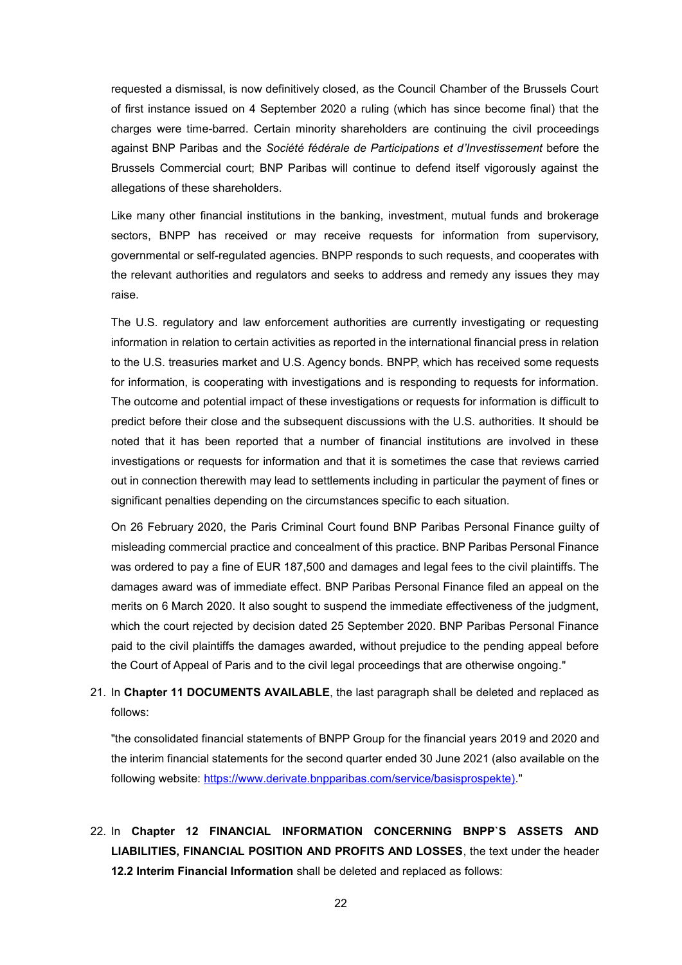requested a dismissal, is now definitively closed, as the Council Chamber of the Brussels Court of first instance issued on 4 September 2020 a ruling (which has since become final) that the charges were time-barred. Certain minority shareholders are continuing the civil proceedings against BNP Paribas and the *Société fédérale de Participations et d'Investissement* before the Brussels Commercial court; BNP Paribas will continue to defend itself vigorously against the allegations of these shareholders.

Like many other financial institutions in the banking, investment, mutual funds and brokerage sectors, BNPP has received or may receive requests for information from supervisory, governmental or self-regulated agencies. BNPP responds to such requests, and cooperates with the relevant authorities and regulators and seeks to address and remedy any issues they may raise.

The U.S. regulatory and law enforcement authorities are currently investigating or requesting information in relation to certain activities as reported in the international financial press in relation to the U.S. treasuries market and U.S. Agency bonds. BNPP, which has received some requests for information, is cooperating with investigations and is responding to requests for information. The outcome and potential impact of these investigations or requests for information is difficult to predict before their close and the subsequent discussions with the U.S. authorities. It should be noted that it has been reported that a number of financial institutions are involved in these investigations or requests for information and that it is sometimes the case that reviews carried out in connection therewith may lead to settlements including in particular the payment of fines or significant penalties depending on the circumstances specific to each situation.

On 26 February 2020, the Paris Criminal Court found BNP Paribas Personal Finance guilty of misleading commercial practice and concealment of this practice. BNP Paribas Personal Finance was ordered to pay a fine of EUR 187,500 and damages and legal fees to the civil plaintiffs. The damages award was of immediate effect. BNP Paribas Personal Finance filed an appeal on the merits on 6 March 2020. It also sought to suspend the immediate effectiveness of the judgment, which the court rejected by decision dated 25 September 2020. BNP Paribas Personal Finance paid to the civil plaintiffs the damages awarded, without prejudice to the pending appeal before the Court of Appeal of Paris and to the civil legal proceedings that are otherwise ongoing."

## 21. In **Chapter 11 DOCUMENTS AVAILABLE**, the last paragraph shall be deleted and replaced as follows:

"the consolidated financial statements of BNPP Group for the financial years 2019 and 2020 and the interim financial statements for the second quarter ended 30 June 2021 (also available on the following website: [https://www.derivate.bnpparibas.com/service/basisprospekte\).](https://www.derivate.bnpparibas.com/service/basisprospekte))"

# 22. In **Chapter 12 FINANCIAL INFORMATION CONCERNING BNPP`S ASSETS AND LIABILITIES, FINANCIAL POSITION AND PROFITS AND LOSSES**, the text under the header **12.2 Interim Financial Information** shall be deleted and replaced as follows: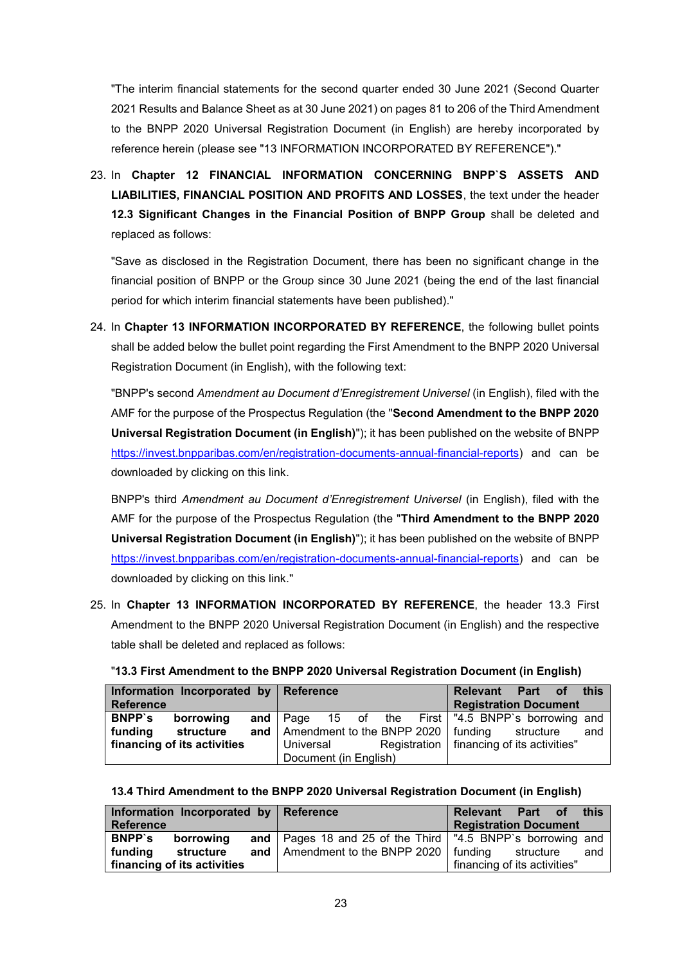"The interim financial statements for the second quarter ended 30 June 2021 (Second Quarter 2021 Results and Balance Sheet as at 30 June 2021) on pages 81 to 206 of the Third Amendment to the BNPP 2020 Universal Registration Document (in English) are hereby incorporated by reference herein (please see "13 INFORMATION INCORPORATED BY REFERENCE")."

23. In **Chapter 12 FINANCIAL INFORMATION CONCERNING BNPP`S ASSETS AND LIABILITIES, FINANCIAL POSITION AND PROFITS AND LOSSES**, the text under the header **12.3 Significant Changes in the Financial Position of BNPP Group** shall be deleted and replaced as follows:

"Save as disclosed in the Registration Document, there has been no significant change in the financial position of BNPP or the Group since 30 June 2021 (being the end of the last financial period for which interim financial statements have been published)."

24. In **Chapter 13 INFORMATION INCORPORATED BY REFERENCE**, the following bullet points shall be added below the bullet point regarding the First Amendment to the BNPP 2020 Universal Registration Document (in English), with the following text:

"BNPP's second *Amendment au Document d'Enregistrement Universel* (in English), filed with the AMF for the purpose of the Prospectus Regulation (the "**Second Amendment to the BNPP 2020 Universal Registration Document (in English)**"); it has been published on the website of BNPP [https://invest.bnpparibas.com/en/registration-documents-annual-financial-reports\)](https://invest.bnpparibas.com/en/registration-documents-annual-financial-reports) and can be downloaded by clicking on this [link.](https://www.societegenerale.com/sites/default/files/documents/Document-d-enregistrement-universel/2019EN/societe-generale-urd-1st-amendment-08-11-2019.pdf)

BNPP's third *Amendment au Document d'Enregistrement Universel* (in English), filed with the AMF for the purpose of the Prospectus Regulation (the "**Third Amendment to the BNPP 2020 Universal Registration Document (in English)**"); it has been published on the website of BNPP [https://invest.bnpparibas.com/en/registration-documents-annual-financial-reports\)](https://invest.bnpparibas.com/en/registration-documents-annual-financial-reports) and can be downloaded by clicking on this [link.](https://www.societegenerale.com/sites/default/files/documents/Document-d-enregistrement-universel/2019EN/societe-generale-urd-1st-amendment-08-11-2019.pdf)"

25. In **Chapter 13 INFORMATION INCORPORATED BY REFERENCE**, the header 13.3 First Amendment to the BNPP 2020 Universal Registration Document (in English) and the respective table shall be deleted and replaced as follows:

| Information Incorporated by Reference |           |             |  |  |  | Relevant                                    | Part of                                                     | <b>this</b> |     |
|---------------------------------------|-----------|-------------|--|--|--|---------------------------------------------|-------------------------------------------------------------|-------------|-----|
| Reference                             |           |             |  |  |  |                                             | <b>Registration Document</b>                                |             |     |
| <b>BNPP</b> 's                        | borrowing |             |  |  |  |                                             | and Page 15 of the First   "4.5 BNPP's borrowing and        |             |     |
| funding                               | structure |             |  |  |  |                                             | <b>and</b>   Amendment to the BNPP 2020   funding structure |             | and |
| financing of its activities           |           | l Universal |  |  |  | Registration   financing of its activities" |                                                             |             |     |

### "**13.3 First Amendment to the BNPP 2020 Universal Registration Document (in English)**

### **13.4 Third Amendment to the BNPP 2020 Universal Registration Document (in English)**

Document (in English)

| <b>Reference</b>            | Information Incorporated by Reference |  |                                                                | Relevant | Part of<br><b>Registration Document</b> | this |
|-----------------------------|---------------------------------------|--|----------------------------------------------------------------|----------|-----------------------------------------|------|
| <b>BNPP</b> 's              | borrowing                             |  | and   Pages 18 and 25 of the Third   "4.5 BNPP's borrowing and |          |                                         |      |
| fundina                     | structure                             |  | and   Amendment to the BNPP 2020   funding                     |          | structure                               | and  |
| financing of its activities |                                       |  | financing of its activities"                                   |          |                                         |      |